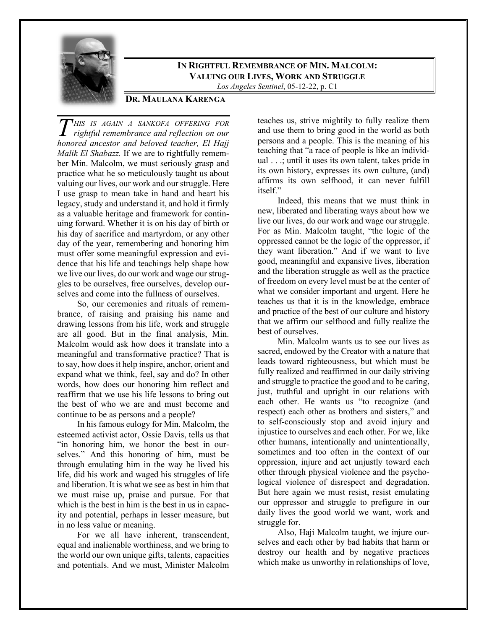

## **IN RIGHTFUL REMEMBRANCE OF MIN. MALCOLM: VALUING OUR LIVES, WORK AND STRUGGLE**

*Los Angeles Sentinel*, 05-12-22, p. C1

## **DR. MAULANA KARENGA**

*HIS IS AGAIN A SANKOFA OFFERING FOR rightful remembrance and reflection on our honored ancestor and beloved teacher, El Hajj Malik El Shabazz.* If we are to rightfully remember Min. Malcolm, we must seriously grasp and practice what he so meticulously taught us about valuing our lives, our work and our struggle. Here I use grasp to mean take in hand and heart his legacy, study and understand it, and hold it firmly as a valuable heritage and framework for continuing forward. Whether it is on his day of birth or his day of sacrifice and martyrdom, or any other day of the year, remembering and honoring him must offer some meaningful expression and evidence that his life and teachings help shape how we live our lives, do our work and wage our struggles to be ourselves, free ourselves, develop ourselves and come into the fullness of ourselves.

So, our ceremonies and rituals of remembrance, of raising and praising his name and drawing lessons from his life, work and struggle are all good. But in the final analysis, Min. Malcolm would ask how does it translate into a meaningful and transformative practice? That is to say, how does it help inspire, anchor, orient and expand what we think, feel, say and do? In other words, how does our honoring him reflect and reaffirm that we use his life lessons to bring out the best of who we are and must become and continue to be as persons and a people?

In his famous eulogy for Min. Malcolm, the esteemed activist actor, Ossie Davis, tells us that "in honoring him, we honor the best in ourselves." And this honoring of him, must be through emulating him in the way he lived his life, did his work and waged his struggles of life and liberation. It is what we see as best in him that we must raise up, praise and pursue. For that which is the best in him is the best in us in capacity and potential, perhaps in lesser measure, but in no less value or meaning.

For we all have inherent, transcendent, equal and inalienable worthiness, and we bring to the world our own unique gifts, talents, capacities and potentials. And we must, Minister Malcolm

teaches us, strive mightily to fully realize them and use them to bring good in the world as both persons and a people. This is the meaning of his teaching that "a race of people is like an individual . . .; until it uses its own talent, takes pride in its own history, expresses its own culture, (and) affirms its own selfhood, it can never fulfill itself."

Indeed, this means that we must think in new, liberated and liberating ways about how we live our lives, do our work and wage our struggle. For as Min. Malcolm taught, "the logic of the oppressed cannot be the logic of the oppressor, if they want liberation." And if we want to live good, meaningful and expansive lives, liberation and the liberation struggle as well as the practice of freedom on every level must be at the center of what we consider important and urgent. Here he teaches us that it is in the knowledge, embrace and practice of the best of our culture and history that we affirm our selfhood and fully realize the best of ourselves.

Min. Malcolm wants us to see our lives as sacred, endowed by the Creator with a nature that leads toward righteousness, but which must be fully realized and reaffirmed in our daily striving and struggle to practice the good and to be caring, just, truthful and upright in our relations with each other. He wants us "to recognize (and respect) each other as brothers and sisters," and to self-consciously stop and avoid injury and injustice to ourselves and each other. For we, like other humans, intentionally and unintentionally, sometimes and too often in the context of our oppression, injure and act unjustly toward each other through physical violence and the psychological violence of disrespect and degradation. But here again we must resist, resist emulating our oppressor and struggle to prefigure in our daily lives the good world we want, work and struggle for.

Also, Haji Malcolm taught, we injure ourselves and each other by bad habits that harm or destroy our health and by negative practices which make us unworthy in relationships of love,